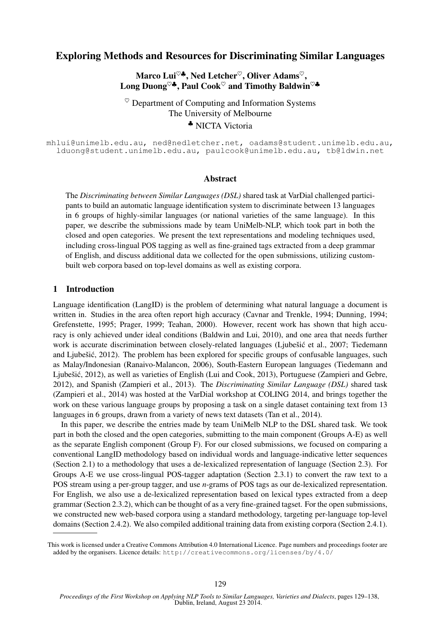# Exploring Methods and Resources for Discriminating Similar Languages

Marco Lui<sup> $\heartsuit$ </sup>, Ned Letcher<sup> $\heartsuit$ </sup>, Oliver Adams<sup> $\heartsuit$ </sup>, Long Duong<sup> $\heartsuit$ </sup>, Paul Cook<sup> $\heartsuit$ </sup> and Timothy Baldwin<sup> $\heartsuit$ </sup>

 $\heartsuit$  Department of Computing and Information Systems The University of Melbourne ♣ NICTA Victoria

mhlui@unimelb.edu.au, ned@nedletcher.net, oadams@student.unimelb.edu.au, lduong@student.unimelb.edu.au, paulcook@unimelb.edu.au, tb@ldwin.net

#### Abstract

The *Discriminating between Similar Languages (DSL)* shared task at VarDial challenged participants to build an automatic language identification system to discriminate between 13 languages in 6 groups of highly-similar languages (or national varieties of the same language). In this paper, we describe the submissions made by team UniMelb-NLP, which took part in both the closed and open categories. We present the text representations and modeling techniques used, including cross-lingual POS tagging as well as fine-grained tags extracted from a deep grammar of English, and discuss additional data we collected for the open submissions, utilizing custombuilt web corpora based on top-level domains as well as existing corpora.

### 1 Introduction

Language identification (LangID) is the problem of determining what natural language a document is written in. Studies in the area often report high accuracy (Cavnar and Trenkle, 1994; Dunning, 1994; Grefenstette, 1995; Prager, 1999; Teahan, 2000). However, recent work has shown that high accuracy is only achieved under ideal conditions (Baldwin and Lui, 2010), and one area that needs further work is accurate discrimination between closely-related languages (Ljubešić et al., 2007; Tiedemann and Ljubešić, 2012). The problem has been explored for specific groups of confusable languages, such as Malay/Indonesian (Ranaivo-Malancon, 2006), South-Eastern European languages (Tiedemann and Ljubešić, 2012), as well as varieties of English (Lui and Cook, 2013), Portuguese (Zampieri and Gebre, 2012), and Spanish (Zampieri et al., 2013). The *Discriminating Similar Language (DSL)* shared task (Zampieri et al., 2014) was hosted at the VarDial workshop at COLING 2014, and brings together the work on these various language groups by proposing a task on a single dataset containing text from 13 languages in 6 groups, drawn from a variety of news text datasets (Tan et al., 2014).

In this paper, we describe the entries made by team UniMelb NLP to the DSL shared task. We took part in both the closed and the open categories, submitting to the main component (Groups A-E) as well as the separate English component (Group F). For our closed submissions, we focused on comparing a conventional LangID methodology based on individual words and language-indicative letter sequences (Section 2.1) to a methodology that uses a de-lexicalized representation of language (Section 2.3). For Groups A-E we use cross-lingual POS-tagger adaptation (Section 2.3.1) to convert the raw text to a POS stream using a per-group tagger, and use *n*-grams of POS tags as our de-lexicalized representation. For English, we also use a de-lexicalized representation based on lexical types extracted from a deep grammar (Section 2.3.2), which can be thought of as a very fine-grained tagset. For the open submissions, we constructed new web-based corpora using a standard methodology, targeting per-language top-level domains (Section 2.4.2). We also compiled additional training data from existing corpora (Section 2.4.1).

This work is licensed under a Creative Commons Attribution 4.0 International Licence. Page numbers and proceedings footer are added by the organisers. Licence details: http://creativecommons.org/licenses/by/4.0/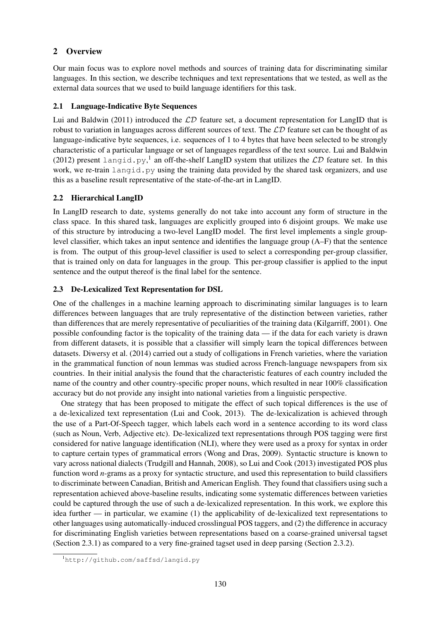### 2 Overview

Our main focus was to explore novel methods and sources of training data for discriminating similar languages. In this section, we describe techniques and text representations that we tested, as well as the external data sources that we used to build language identifiers for this task.

### 2.1 Language-Indicative Byte Sequences

Lui and Baldwin (2011) introduced the  $\mathcal{LD}$  feature set, a document representation for LangID that is robust to variation in languages across different sources of text. The  $\mathcal{LD}$  feature set can be thought of as language-indicative byte sequences, i.e. sequences of 1 to 4 bytes that have been selected to be strongly characteristic of a particular language or set of languages regardless of the text source. Lui and Baldwin (2012) present langid.py,<sup>1</sup> an off-the-shelf LangID system that utilizes the  $\mathcal{LD}$  feature set. In this work, we re-train langid.py using the training data provided by the shared task organizers, and use this as a baseline result representative of the state-of-the-art in LangID.

### 2.2 Hierarchical LangID

In LangID research to date, systems generally do not take into account any form of structure in the class space. In this shared task, languages are explicitly grouped into 6 disjoint groups. We make use of this structure by introducing a two-level LangID model. The first level implements a single grouplevel classifier, which takes an input sentence and identifies the language group (A–F) that the sentence is from. The output of this group-level classifier is used to select a corresponding per-group classifier, that is trained only on data for languages in the group. This per-group classifier is applied to the input sentence and the output thereof is the final label for the sentence.

### 2.3 De-Lexicalized Text Representation for DSL

One of the challenges in a machine learning approach to discriminating similar languages is to learn differences between languages that are truly representative of the distinction between varieties, rather than differences that are merely representative of peculiarities of the training data (Kilgarriff, 2001). One possible confounding factor is the topicality of the training data — if the data for each variety is drawn from different datasets, it is possible that a classifier will simply learn the topical differences between datasets. Diwersy et al. (2014) carried out a study of colligations in French varieties, where the variation in the grammatical function of noun lemmas was studied across French-language newspapers from six countries. In their initial analysis the found that the characteristic features of each country included the name of the country and other country-specific proper nouns, which resulted in near 100% classification accuracy but do not provide any insight into national varieties from a linguistic perspective.

One strategy that has been proposed to mitigate the effect of such topical differences is the use of a de-lexicalized text representation (Lui and Cook, 2013). The de-lexicalization is achieved through the use of a Part-Of-Speech tagger, which labels each word in a sentence according to its word class (such as Noun, Verb, Adjective etc). De-lexicalized text representations through POS tagging were first considered for native language identification (NLI), where they were used as a proxy for syntax in order to capture certain types of grammatical errors (Wong and Dras, 2009). Syntactic structure is known to vary across national dialects (Trudgill and Hannah, 2008), so Lui and Cook (2013) investigated POS plus function word *n*-grams as a proxy for syntactic structure, and used this representation to build classifiers to discriminate between Canadian, British and American English. They found that classifiers using such a representation achieved above-baseline results, indicating some systematic differences between varieties could be captured through the use of such a de-lexicalized representation. In this work, we explore this idea further — in particular, we examine (1) the applicability of de-lexicalized text representations to other languages using automatically-induced crosslingual POS taggers, and (2) the difference in accuracy for discriminating English varieties between representations based on a coarse-grained universal tagset (Section 2.3.1) as compared to a very fine-grained tagset used in deep parsing (Section 2.3.2).

<sup>1</sup>http://github.com/saffsd/langid.py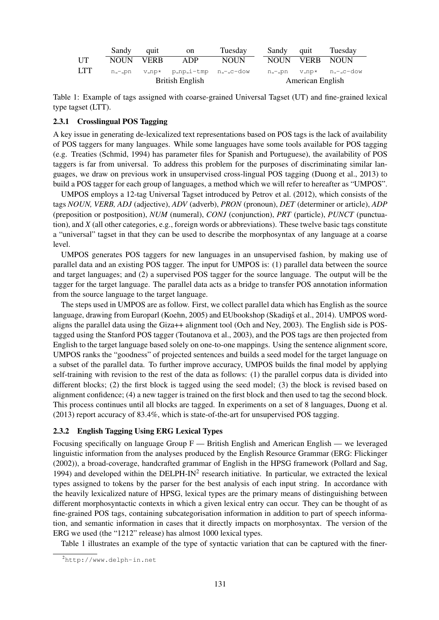|            | Sandy     | quit                                            | on              | Tuesday     |  | Sandv                   | quit           | Tuesday                |  |
|------------|-----------|-------------------------------------------------|-----------------|-------------|--|-------------------------|----------------|------------------------|--|
| UT         | NOUN VERB |                                                 | ADP             | <b>NOUN</b> |  |                         | NOUN VERB NOUN |                        |  |
| <b>LTT</b> |           | $n_{-}$ pn $v_{-}np*$ p_np_i-tmp $n_{-}$ -c-dow |                 |             |  |                         |                | n_-_pn v_np* n_-_c-dow |  |
|            |           |                                                 | British English |             |  | <b>American English</b> |                |                        |  |

Table 1: Example of tags assigned with coarse-grained Universal Tagset (UT) and fine-grained lexical type tagset (LTT).

#### 2.3.1 Crosslingual POS Tagging

A key issue in generating de-lexicalized text representations based on POS tags is the lack of availability of POS taggers for many languages. While some languages have some tools available for POS tagging (e.g. Treaties (Schmid, 1994) has parameter files for Spanish and Portuguese), the availability of POS taggers is far from universal. To address this problem for the purposes of discriminating similar languages, we draw on previous work in unsupervised cross-lingual POS tagging (Duong et al., 2013) to build a POS tagger for each group of languages, a method which we will refer to hereafter as "UMPOS".

UMPOS employs a 12-tag Universal Tagset introduced by Petrov et al. (2012), which consists of the tags *NOUN, VERB, ADJ* (adjective), *ADV* (adverb), *PRON* (pronoun), *DET* (determiner or article), *ADP* (preposition or postposition), *NUM* (numeral), *CONJ* (conjunction), *PRT* (particle), *PUNCT* (punctuation), and *X* (all other categories, e.g., foreign words or abbreviations). These twelve basic tags constitute a "universal" tagset in that they can be used to describe the morphosyntax of any language at a coarse level.

UMPOS generates POS taggers for new languages in an unsupervised fashion, by making use of parallel data and an existing POS tagger. The input for UMPOS is: (1) parallel data between the source and target languages; and (2) a supervised POS tagger for the source language. The output will be the tagger for the target language. The parallel data acts as a bridge to transfer POS annotation information from the source language to the target language.

The steps used in UMPOS are as follow. First, we collect parallel data which has English as the source language, drawing from Europarl (Koehn, 2005) and EUbookshop (Skadinš et al., 2014). UMPOS wordaligns the parallel data using the Giza++ alignment tool (Och and Ney, 2003). The English side is POStagged using the Stanford POS tagger (Toutanova et al., 2003), and the POS tags are then projected from English to the target language based solely on one-to-one mappings. Using the sentence alignment score, UMPOS ranks the "goodness" of projected sentences and builds a seed model for the target language on a subset of the parallel data. To further improve accuracy, UMPOS builds the final model by applying self-training with revision to the rest of the data as follows: (1) the parallel corpus data is divided into different blocks; (2) the first block is tagged using the seed model; (3) the block is revised based on alignment confidence; (4) a new tagger is trained on the first block and then used to tag the second block. This process continues until all blocks are tagged. In experiments on a set of 8 languages, Duong et al. (2013) report accuracy of 83.4%, which is state-of-the-art for unsupervised POS tagging.

#### 2.3.2 English Tagging Using ERG Lexical Types

Focusing specifically on language Group F — British English and American English — we leveraged linguistic information from the analyses produced by the English Resource Grammar (ERG: Flickinger (2002)), a broad-coverage, handcrafted grammar of English in the HPSG framework (Pollard and Sag, 1994) and developed within the DELPH-IN<sup>2</sup> research initiative. In particular, we extracted the lexical types assigned to tokens by the parser for the best analysis of each input string. In accordance with the heavily lexicalized nature of HPSG, lexical types are the primary means of distinguishing between different morphosyntactic contexts in which a given lexical entry can occur. They can be thought of as fine-grained POS tags, containing subcategorisation information in addition to part of speech information, and semantic information in cases that it directly impacts on morphosyntax. The version of the ERG we used (the "1212" release) has almost 1000 lexical types.

Table 1 illustrates an example of the type of syntactic variation that can be captured with the finer-

<sup>2</sup>http://www.delph-in.net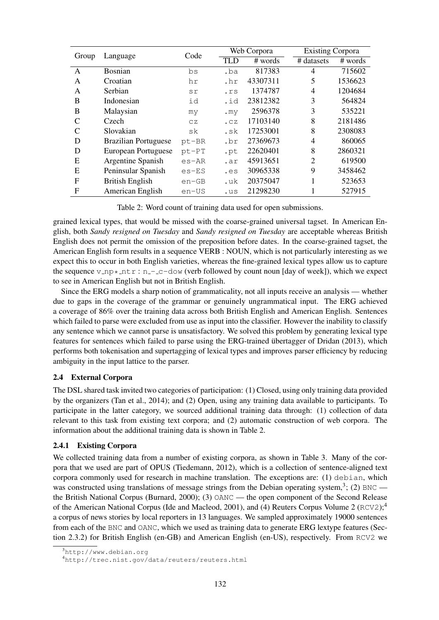| Group        |                             | Code     |                 | Web Corpora | <b>Existing Corpora</b> |         |  |
|--------------|-----------------------------|----------|-----------------|-------------|-------------------------|---------|--|
|              | Language                    |          | TLD             | # words     | # datasets              | # words |  |
| A            | <b>Bosnian</b>              | bs       | .ba             | 817383      | 4                       | 715602  |  |
| A            | Croatian                    | hr       | .hr             | 43307311    | 5                       | 1536623 |  |
| A            | <b>Serbian</b>              | sr       | .rs             | 1374787     | 4                       | 1204684 |  |
| B            | Indonesian                  | id       | .id             | 23812382    | 3                       | 564824  |  |
| B            | Malaysian                   | my       | .my             | 2596378     | 3                       | 535221  |  |
| C            | Czech                       | CZ       | .CZ             | 17103140    | 8                       | 2181486 |  |
| $\mathsf{C}$ | Slovakian                   | sk       | .sk             | 17253001    | 8                       | 2308083 |  |
| D            | <b>Brazilian Portuguese</b> | $pt$ -BR | .br             | 27369673    | 4                       | 860065  |  |
| D            | European Portuguese         | $pt-PT$  | .pt             | 22620401    | 8                       | 2860321 |  |
| Ε            | Argentine Spanish           | $es-AR$  | .ar             | 45913651    | $\overline{2}$          | 619500  |  |
| E            | Peninsular Spanish          | $es$ -ES | . <sub>es</sub> | 30965338    | 9                       | 3458462 |  |
| $\mathbf{F}$ | <b>British English</b>      | $en-GB$  | .uk             | 20375047    |                         | 523653  |  |
| F            | American English            | en-US    | .us             | 21298230    |                         | 527915  |  |

Table 2: Word count of training data used for open submissions.

grained lexical types, that would be missed with the coarse-grained universal tagset. In American English, both *Sandy resigned on Tuesday* and *Sandy resigned on Tuesday* are acceptable whereas British English does not permit the omission of the preposition before dates. In the coarse-grained tagset, the American English form results in a sequence VERB : NOUN, which is not particularly interesting as we expect this to occur in both English varieties, whereas the fine-grained lexical types allow us to capture the sequence v\_np \*\_ntr: n\_-\_c-dow (verb followed by count noun [day of week]), which we expect to see in American English but not in British English.

Since the ERG models a sharp notion of grammaticality, not all inputs receive an analysis — whether due to gaps in the coverage of the grammar or genuinely ungrammatical input. The ERG achieved a coverage of 86% over the training data across both British English and American English. Sentences which failed to parse were excluded from use as input into the classifier. However the inability to classify any sentence which we cannot parse is unsatisfactory. We solved this problem by generating lexical type features for sentences which failed to parse using the ERG-trained übertagger of Dridan (2013), which performs both tokenisation and supertagging of lexical types and improves parser efficiency by reducing ambiguity in the input lattice to the parser.

# 2.4 External Corpora

The DSL shared task invited two categories of participation: (1) Closed, using only training data provided by the organizers (Tan et al., 2014); and (2) Open, using any training data available to participants. To participate in the latter category, we sourced additional training data through: (1) collection of data relevant to this task from existing text corpora; and (2) automatic construction of web corpora. The information about the additional training data is shown in Table 2.

# 2.4.1 Existing Corpora

We collected training data from a number of existing corpora, as shown in Table 3. Many of the corpora that we used are part of OPUS (Tiedemann, 2012), which is a collection of sentence-aligned text corpora commonly used for research in machine translation. The exceptions are: (1) debian, which was constructed using translations of message strings from the Debian operating system,<sup>3</sup>; (2) BNC the British National Corpus (Burnard, 2000); (3) OANC — the open component of the Second Release of the American National Corpus (Ide and Macleod, 2001), and (4) Reuters Corpus Volume 2 (RCV2);<sup>4</sup> a corpus of news stories by local reporters in 13 languages. We sampled approximately 19000 sentences from each of the BNC and OANC, which we used as training data to generate ERG lextype features (Section 2.3.2) for British English (en-GB) and American English (en-US), respectively. From RCV2 we

<sup>3</sup>http://www.debian.org

<sup>4</sup>http://trec.nist.gov/data/reuters/reuters.html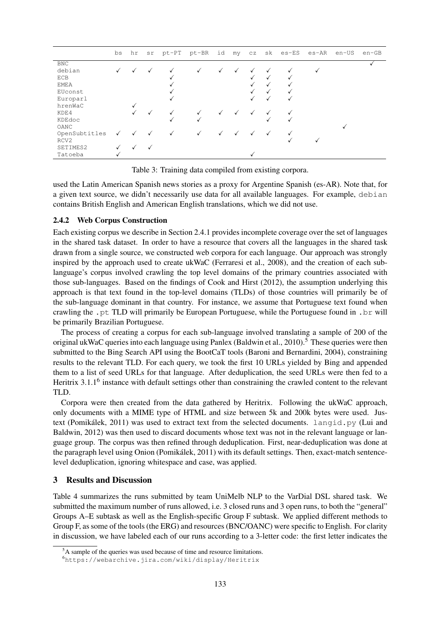|                  | bs | hr | sr           | pt-PT | pt-BR | id           | my | CZ | sk           | es-ES | es-AR | en-US | $en-GB$ |
|------------------|----|----|--------------|-------|-------|--------------|----|----|--------------|-------|-------|-------|---------|
| <b>BNC</b>       |    |    |              |       |       |              |    |    |              |       |       |       |         |
| debian           | ✓  |    | √            |       | ✓     | $\checkmark$ |    |    |              |       |       |       |         |
| <b>ECB</b>       |    |    |              |       |       |              |    |    |              |       |       |       |         |
| <b>EMEA</b>      |    |    |              |       |       |              |    |    | √            |       |       |       |         |
| EUconst          |    |    |              |       |       |              |    |    | √            |       |       |       |         |
| Europarl         |    |    |              | √     |       |              |    |    | $\checkmark$ | √     |       |       |         |
| hrenWaC          |    |    |              |       |       |              |    |    |              |       |       |       |         |
| KDE4             |    |    | $\checkmark$ |       | ✓     | √            |    | ✓  |              |       |       |       |         |
| KDEdoc           |    |    |              | √     | √     |              |    |    |              |       |       |       |         |
| OANC             |    |    |              |       |       |              |    |    |              |       |       |       |         |
| OpenSubtitles    | ✓  |    | ✓            | ✓     | √     | √            |    |    | $\checkmark$ |       |       |       |         |
| RCV <sub>2</sub> |    |    |              |       |       |              |    |    |              |       |       |       |         |
| SETIMES2         | ✓  | √  |              |       |       |              |    |    |              |       |       |       |         |
| Tatoeba          | V  |    |              |       |       |              |    |    |              |       |       |       |         |

Table 3: Training data compiled from existing corpora.

used the Latin American Spanish news stories as a proxy for Argentine Spanish (es-AR). Note that, for a given text source, we didn't necessarily use data for all available languages. For example, debian contains British English and American English translations, which we did not use.

### 2.4.2 Web Corpus Construction

Each existing corpus we describe in Section 2.4.1 provides incomplete coverage over the set of languages in the shared task dataset. In order to have a resource that covers all the languages in the shared task drawn from a single source, we constructed web corpora for each language. Our approach was strongly inspired by the approach used to create ukWaC (Ferraresi et al., 2008), and the creation of each sublanguage's corpus involved crawling the top level domains of the primary countries associated with those sub-languages. Based on the findings of Cook and Hirst (2012), the assumption underlying this approach is that text found in the top-level domains (TLDs) of those countries will primarily be of the sub-language dominant in that country. For instance, we assume that Portuguese text found when crawling the .pt TLD will primarily be European Portuguese, while the Portuguese found in .br will be primarily Brazilian Portuguese.

The process of creating a corpus for each sub-language involved translating a sample of 200 of the original ukWaC queries into each language using Panlex (Baldwin et al., 2010).<sup>5</sup> These queries were then submitted to the Bing Search API using the BootCaT tools (Baroni and Bernardini, 2004), constraining results to the relevant TLD. For each query, we took the first 10 URLs yielded by Bing and appended them to a list of seed URLs for that language. After deduplication, the seed URLs were then fed to a Heritrix 3.1.1<sup>6</sup> instance with default settings other than constraining the crawled content to the relevant TLD.

Corpora were then created from the data gathered by Heritrix. Following the ukWaC approach, only documents with a MIME type of HTML and size between 5k and 200k bytes were used. Justext (Pomikálek, 2011) was used to extract text from the selected documents. langid.py (Lui and Baldwin, 2012) was then used to discard documents whose text was not in the relevant language or language group. The corpus was then refined through deduplication. First, near-deduplication was done at the paragraph level using Onion (Pomikálek, 2011) with its default settings. Then, exact-match sentencelevel deduplication, ignoring whitespace and case, was applied.

### 3 Results and Discussion

Table 4 summarizes the runs submitted by team UniMelb NLP to the VarDial DSL shared task. We submitted the maximum number of runs allowed, i.e. 3 closed runs and 3 open runs, to both the "general" Groups A–E subtask as well as the English-specific Group F subtask. We applied different methods to Group F, as some of the tools (the ERG) and resources (BNC/OANC) were specific to English. For clarity in discussion, we have labeled each of our runs according to a 3-letter code: the first letter indicates the

<sup>5</sup>A sample of the queries was used because of time and resource limitations.

<sup>6</sup>https://webarchive.jira.com/wiki/display/Heritrix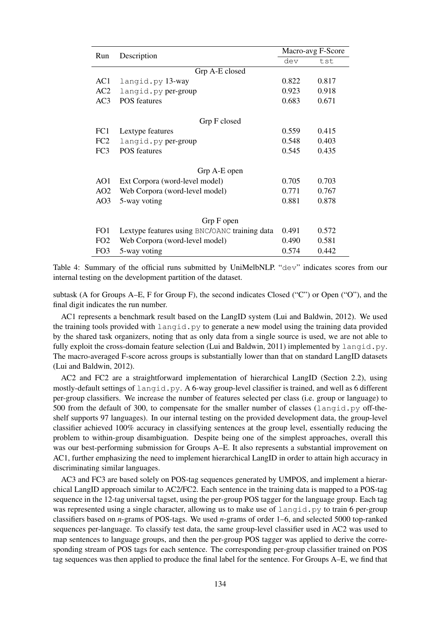| Run             | Description                                   | Macro-avg F-Score |       |  |  |  |  |
|-----------------|-----------------------------------------------|-------------------|-------|--|--|--|--|
|                 |                                               | dev               | tst   |  |  |  |  |
|                 | Grp A-E closed                                |                   |       |  |  |  |  |
| AC1             | langid.py 13-way                              | 0.822             | 0.817 |  |  |  |  |
| AC2             | langid.py per-group                           | 0.923             | 0.918 |  |  |  |  |
| AC3             | <b>POS</b> features                           | 0.683             | 0.671 |  |  |  |  |
|                 | Grp F closed                                  |                   |       |  |  |  |  |
| FC1             | Lextype features                              | 0.559             | 0.415 |  |  |  |  |
| FC <sub>2</sub> | langid.py per-group                           | 0.548             | 0.403 |  |  |  |  |
| FC <sub>3</sub> | <b>POS</b> features                           | 0.545             | 0.435 |  |  |  |  |
|                 |                                               |                   |       |  |  |  |  |
| Grp A-E open    |                                               |                   |       |  |  |  |  |
| AO1             | Ext Corpora (word-level model)                | 0.705             | 0.703 |  |  |  |  |
| AO <sub>2</sub> | Web Corpora (word-level model)                | 0.771             | 0.767 |  |  |  |  |
| AO <sub>3</sub> | 5-way voting                                  | 0.881             | 0.878 |  |  |  |  |
|                 |                                               |                   |       |  |  |  |  |
|                 | Grp F open                                    |                   |       |  |  |  |  |
| FO1             | Lextype features using BNC/OANC training data | 0.491             | 0.572 |  |  |  |  |
| FO <sub>2</sub> | Web Corpora (word-level model)                | 0.490             | 0.581 |  |  |  |  |
| FO <sub>3</sub> | 5-way voting                                  | 0.574             | 0.442 |  |  |  |  |

Table 4: Summary of the official runs submitted by UniMelbNLP. "dev" indicates scores from our internal testing on the development partition of the dataset.

subtask (A for Groups A–E, F for Group F), the second indicates Closed ("C") or Open ("O"), and the final digit indicates the run number.

AC1 represents a benchmark result based on the LangID system (Lui and Baldwin, 2012). We used the training tools provided with langid.py to generate a new model using the training data provided by the shared task organizers, noting that as only data from a single source is used, we are not able to fully exploit the cross-domain feature selection (Lui and Baldwin, 2011) implemented by langid.py. The macro-averaged F-score across groups is substantially lower than that on standard LangID datasets (Lui and Baldwin, 2012).

AC2 and FC2 are a straightforward implementation of hierarchical LangID (Section 2.2), using mostly-default settings of langid.py. A 6-way group-level classifier is trained, and well as 6 different per-group classifiers. We increase the number of features selected per class (i.e. group or language) to 500 from the default of 300, to compensate for the smaller number of classes (langid.py off-theshelf supports 97 languages). In our internal testing on the provided development data, the group-level classifier achieved 100% accuracy in classifying sentences at the group level, essentially reducing the problem to within-group disambiguation. Despite being one of the simplest approaches, overall this was our best-performing submission for Groups A–E. It also represents a substantial improvement on AC1, further emphasizing the need to implement hierarchical LangID in order to attain high accuracy in discriminating similar languages.

AC3 and FC3 are based solely on POS-tag sequences generated by UMPOS, and implement a hierarchical LangID approach similar to AC2/FC2. Each sentence in the training data is mapped to a POS-tag sequence in the 12-tag universal tagset, using the per-group POS tagger for the language group. Each tag was represented using a single character, allowing us to make use of  $l$  angid.py to train 6 per-group classifiers based on *n*-grams of POS-tags. We used *n*-grams of order 1–6, and selected 5000 top-ranked sequences per-language. To classify test data, the same group-level classifier used in AC2 was used to map sentences to language groups, and then the per-group POS tagger was applied to derive the corresponding stream of POS tags for each sentence. The corresponding per-group classifier trained on POS tag sequences was then applied to produce the final label for the sentence. For Groups A–E, we find that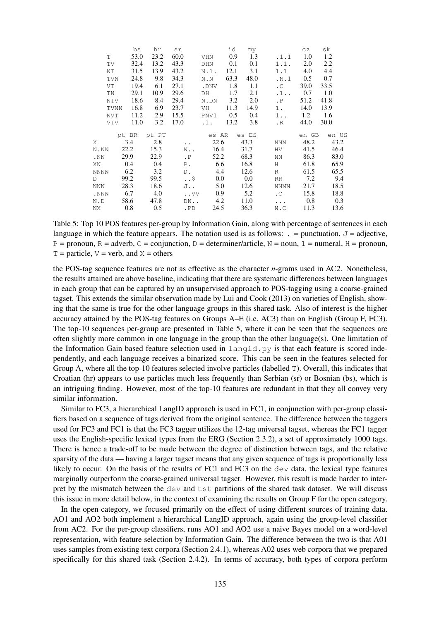|             | bs   | hr                                       | sr                          |                                                          | id                                                                                                       |                                                                                                                                 |                                                     | CZ                                               | sk                                                                                                                                           |
|-------------|------|------------------------------------------|-----------------------------|----------------------------------------------------------|----------------------------------------------------------------------------------------------------------|---------------------------------------------------------------------------------------------------------------------------------|-----------------------------------------------------|--------------------------------------------------|----------------------------------------------------------------------------------------------------------------------------------------------|
| T.          | 53.0 | 23.2                                     | 60.0                        |                                                          | 0.9                                                                                                      |                                                                                                                                 |                                                     | 1.0                                              | 1.2                                                                                                                                          |
| TV          | 32.4 | 13.2                                     | 43.3                        |                                                          | 0.1                                                                                                      | 0.1                                                                                                                             |                                                     | 2.0                                              | 2.2                                                                                                                                          |
| ΝT          | 31.5 | 13.9                                     | 43.2                        | $N.1$ .                                                  | 12.1                                                                                                     | 3.1                                                                                                                             |                                                     | 4.0                                              | 4.4                                                                                                                                          |
| <b>TVN</b>  | 24.8 | 9.8                                      | 34.3                        | N.N                                                      |                                                                                                          |                                                                                                                                 |                                                     | $0.5^{\circ}$                                    | 0.7                                                                                                                                          |
| VT          | 19.4 | 6.1                                      | 27.1                        |                                                          | 1.8                                                                                                      | 1.1                                                                                                                             | $\cdot$ C                                           | 39.0                                             | 33.5                                                                                                                                         |
| TN          | 29.1 | 10.9                                     | 29.6                        | DH                                                       | 1.7                                                                                                      |                                                                                                                                 | $\ldots$                                            | 0.7                                              | 1.0                                                                                                                                          |
| NTV         | 18.6 | 8.4                                      | 29.4                        | N.DN                                                     | 3.2                                                                                                      | 2.0                                                                                                                             | $\cdot$ P                                           | 51.2                                             | 41.8                                                                                                                                         |
| <b>TVNN</b> | 16.8 | 6.9                                      | 23.7                        | VH                                                       |                                                                                                          |                                                                                                                                 | 1.                                                  | 14.0                                             | 13.9                                                                                                                                         |
| NVT         | 11.2 | 2.9                                      | 15.5                        | PNV1                                                     |                                                                                                          |                                                                                                                                 |                                                     | 1.2                                              | 1.6                                                                                                                                          |
| VTV         | 11.0 | 3.2                                      | 17.0                        |                                                          |                                                                                                          | 3.8                                                                                                                             | $\cdot$ R                                           |                                                  | 30.0                                                                                                                                         |
|             |      |                                          |                             |                                                          |                                                                                                          |                                                                                                                                 |                                                     |                                                  | $en$ –US                                                                                                                                     |
|             |      |                                          | $\sim$ $\sim$               |                                                          |                                                                                                          |                                                                                                                                 | NNN                                                 |                                                  | 43.2                                                                                                                                         |
|             |      |                                          | N.,                         |                                                          |                                                                                                          |                                                                                                                                 | HV                                                  |                                                  | 46.4                                                                                                                                         |
|             |      |                                          | $\cdot$ P                   |                                                          |                                                                                                          |                                                                                                                                 | NN 1999 N                                           |                                                  | 83.0                                                                                                                                         |
|             |      |                                          |                             |                                                          |                                                                                                          | 16.8                                                                                                                            | H                                                   |                                                  | 65.9                                                                                                                                         |
|             |      | 3.2                                      |                             |                                                          |                                                                                                          | 12.6                                                                                                                            | R                                                   |                                                  | 65.5                                                                                                                                         |
|             |      |                                          |                             |                                                          |                                                                                                          | $0.0\,$                                                                                                                         | RR                                                  |                                                  | 9.4                                                                                                                                          |
|             |      | 18.6                                     |                             |                                                          |                                                                                                          | 12.6                                                                                                                            | <b>NNNN</b>                                         |                                                  | 18.5                                                                                                                                         |
|             |      | 4.0                                      |                             |                                                          |                                                                                                          | 5.2                                                                                                                             | $\mathcal{C}$                                       |                                                  | 18.8                                                                                                                                         |
|             |      |                                          |                             |                                                          |                                                                                                          |                                                                                                                                 | $\sim$ $\sim$ $\sim$                                |                                                  | 0.3                                                                                                                                          |
|             |      | 0.5                                      |                             |                                                          |                                                                                                          | 36.3                                                                                                                            | N.C                                                 |                                                  | 13.6                                                                                                                                         |
|             |      | 0.4<br>6.2<br>99.2<br>28.3<br>6.7<br>0.8 | 22.2<br>29.9<br>0.4<br>58.6 | pt-BR pt-PT<br>$3.4$ 2.8<br>15.3<br>22.9<br>99.5<br>47.8 | P.<br>D.<br>$\cdot$ . $\circ$<br>$J \cdot \cdot$<br>$\mathbf{.} \mathbf{V} \mathbf{V}$<br>$DN$<br>$.$ PD | VHN<br>DHN<br>63.3<br>.DNV<br>$\cdot$ 1.<br>es-AR<br>22.6<br>16.4<br>52.2<br>6.6<br>4.4<br>$0.0\,$<br>5.0<br>0.9<br>4.2<br>24.5 | 11.3<br>0.5<br>13.2<br>43.3<br>31.7<br>68.3<br>11.0 | my<br>1.3<br>48.0<br>2.1<br>14.9<br>0.4<br>es-ES | .1.1<br>1.1.<br>1.1<br>$\ldots$<br>$1 \ldots$<br>44.0<br>en-GB<br>48.2<br>41.5<br>86.3<br>61.8<br>61.5<br>7.2<br>21.7<br>15.8<br>0.8<br>11.3 |

Table 5: Top 10 POS features per-group by Information Gain, along with percentage of sentences in each language in which the feature appears. The notation used is as follows:  $\cdot$  = punctuation,  $J = \text{adjective}$ ,  $P =$  pronoun, R = adverb, C = conjunction, D = determiner/article, N = noun, 1 = numeral, H = pronoun,  $T =$  particle,  $V =$  verb, and  $X =$  others

the POS-tag sequence features are not as effective as the character *n*-grams used in AC2. Nonetheless, the results attained are above baseline, indicating that there are systematic differences between languages in each group that can be captured by an unsupervised approach to POS-tagging using a coarse-grained tagset. This extends the similar observation made by Lui and Cook (2013) on varieties of English, showing that the same is true for the other language groups in this shared task. Also of interest is the higher accuracy attained by the POS-tag features on Groups A–E (i.e. AC3) than on English (Group F, FC3). The top-10 sequences per-group are presented in Table 5, where it can be seen that the sequences are often slightly more common in one language in the group than the other language(s). One limitation of the Information Gain based feature selection used in langid.py is that each feature is scored independently, and each language receives a binarized score. This can be seen in the features selected for Group A, where all the top-10 features selected involve particles (labelled T). Overall, this indicates that Croatian (hr) appears to use particles much less frequently than Serbian (sr) or Bosnian (bs), which is an intriguing finding. However, most of the top-10 features are redundant in that they all convey very similar information.

Similar to FC3, a hierarchical LangID approach is used in FC1, in conjunction with per-group classifiers based on a sequence of tags derived from the original sentence. The difference between the taggers used for FC3 and FC1 is that the FC3 tagger utilizes the 12-tag universal tagset, whereas the FC1 tagger uses the English-specific lexical types from the ERG (Section 2.3.2), a set of approximately 1000 tags. There is hence a trade-off to be made between the degree of distinction between tags, and the relative sparsity of the data — having a larger tagset means that any given sequence of tags is proportionally less likely to occur. On the basis of the results of FC1 and FC3 on the dev data, the lexical type features marginally outperform the coarse-grained universal tagset. However, this result is made harder to interpret by the mismatch between the dev and tst partitions of the shared task dataset. We will discuss this issue in more detail below, in the context of examining the results on Group F for the open category.

In the open category, we focused primarily on the effect of using different sources of training data. AO1 and AO2 both implement a hierarchical LangID approach, again using the group-level classifier from AC2. For the per-group classifiers, runs AO1 and AO2 use a naive Bayes model on a word-level representation, with feature selection by Information Gain. The difference between the two is that A01 uses samples from existing text corpora (Section 2.4.1), whereas A02 uses web corpora that we prepared specifically for this shared task (Section 2.4.2). In terms of accuracy, both types of corpora perform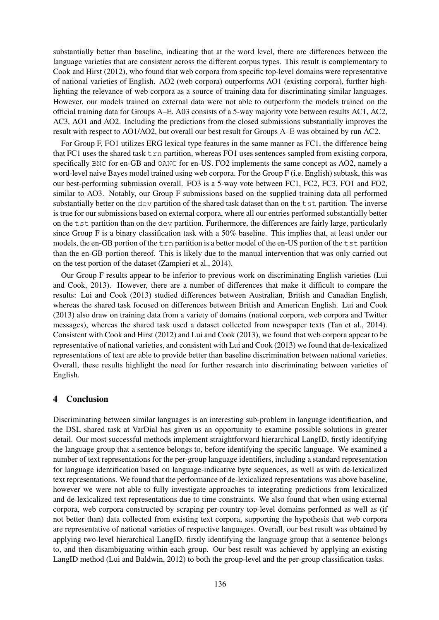substantially better than baseline, indicating that at the word level, there are differences between the language varieties that are consistent across the different corpus types. This result is complementary to Cook and Hirst (2012), who found that web corpora from specific top-level domains were representative of national varieties of English. AO2 (web corpora) outperforms AO1 (existing corpora), further highlighting the relevance of web corpora as a source of training data for discriminating similar languages. However, our models trained on external data were not able to outperform the models trained on the official training data for Groups A–E. A03 consists of a 5-way majority vote between results AC1, AC2, AC3, AO1 and AO2. Including the predictions from the closed submissions substantially improves the result with respect to AO1/AO2, but overall our best result for Groups A–E was obtained by run AC2.

For Group F, FO1 utilizes ERG lexical type features in the same manner as FC1, the difference being that FC1 uses the shared task  $t$  rn partition, whereas FO1 uses sentences sampled from existing corpora, specifically BNC for en-GB and OANC for en-US. FO2 implements the same concept as AO2, namely a word-level naive Bayes model trained using web corpora. For the Group F (i.e. English) subtask, this was our best-performing submission overall. FO3 is a 5-way vote between FC1, FC2, FC3, FO1 and FO2, similar to AO3. Notably, our Group F submissions based on the supplied training data all performed substantially better on the dev partition of the shared task dataset than on the  $t$  st partition. The inverse is true for our submissions based on external corpora, where all our entries performed substantially better on the tst partition than on the dev partition. Furthermore, the differences are fairly large, particularly since Group F is a binary classification task with a 50% baseline. This implies that, at least under our models, the en-GB portion of the  $\pm$  rn partition is a better model of the en-US portion of the  $\pm$  st partition than the en-GB portion thereof. This is likely due to the manual intervention that was only carried out on the test portion of the dataset (Zampieri et al., 2014).

Our Group F results appear to be inferior to previous work on discriminating English varieties (Lui and Cook, 2013). However, there are a number of differences that make it difficult to compare the results: Lui and Cook (2013) studied differences between Australian, British and Canadian English, whereas the shared task focused on differences between British and American English. Lui and Cook (2013) also draw on training data from a variety of domains (national corpora, web corpora and Twitter messages), whereas the shared task used a dataset collected from newspaper texts (Tan et al., 2014). Consistent with Cook and Hirst (2012) and Lui and Cook (2013), we found that web corpora appear to be representative of national varieties, and consistent with Lui and Cook (2013) we found that de-lexicalized representations of text are able to provide better than baseline discrimination between national varieties. Overall, these results highlight the need for further research into discriminating between varieties of English.

### 4 Conclusion

Discriminating between similar languages is an interesting sub-problem in language identification, and the DSL shared task at VarDial has given us an opportunity to examine possible solutions in greater detail. Our most successful methods implement straightforward hierarchical LangID, firstly identifying the language group that a sentence belongs to, before identifying the specific language. We examined a number of text representations for the per-group language identifiers, including a standard representation for language identification based on language-indicative byte sequences, as well as with de-lexicalized text representations. We found that the performance of de-lexicalized representations was above baseline, however we were not able to fully investigate approaches to integrating predictions from lexicalized and de-lexicalized text representations due to time constraints. We also found that when using external corpora, web corpora constructed by scraping per-country top-level domains performed as well as (if not better than) data collected from existing text corpora, supporting the hypothesis that web corpora are representative of national varieties of respective languages. Overall, our best result was obtained by applying two-level hierarchical LangID, firstly identifying the language group that a sentence belongs to, and then disambiguating within each group. Our best result was achieved by applying an existing LangID method (Lui and Baldwin, 2012) to both the group-level and the per-group classification tasks.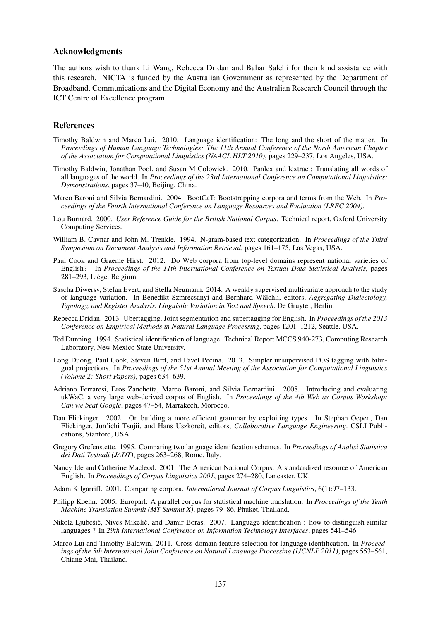#### Acknowledgments

The authors wish to thank Li Wang, Rebecca Dridan and Bahar Salehi for their kind assistance with this research. NICTA is funded by the Australian Government as represented by the Department of Broadband, Communications and the Digital Economy and the Australian Research Council through the ICT Centre of Excellence program.

#### References

- Timothy Baldwin and Marco Lui. 2010. Language identification: The long and the short of the matter. In *Proceedings of Human Language Technologies: The 11th Annual Conference of the North American Chapter of the Association for Computational Linguistics (NAACL HLT 2010)*, pages 229–237, Los Angeles, USA.
- Timothy Baldwin, Jonathan Pool, and Susan M Colowick. 2010. Panlex and lextract: Translating all words of all languages of the world. In *Proceedings of the 23rd International Conference on Computational Linguistics: Demonstrations*, pages 37–40, Beijing, China.
- Marco Baroni and Silvia Bernardini. 2004. BootCaT: Bootstrapping corpora and terms from the Web. In *Proceedings of the Fourth International Conference on Language Resources and Evaluation (LREC 2004)*.
- Lou Burnard. 2000. *User Reference Guide for the British National Corpus*. Technical report, Oxford University Computing Services.
- William B. Cavnar and John M. Trenkle. 1994. N-gram-based text categorization. In *Proceedings of the Third Symposium on Document Analysis and Information Retrieval*, pages 161–175, Las Vegas, USA.
- Paul Cook and Graeme Hirst. 2012. Do Web corpora from top-level domains represent national varieties of English? In *Proceedings of the 11th International Conference on Textual Data Statistical Analysis*, pages 281–293, Liege, Belgium. `
- Sascha Diwersy, Stefan Evert, and Stella Neumann. 2014. A weakly supervised multivariate approach to the study of language variation. In Benedikt Szmrecsanyi and Bernhard Wälchli, editors, Aggregating Dialectology, *Typology, and Register Analysis. Linguistic Variation in Text and Speech*. De Gruyter, Berlin.
- Rebecca Dridan. 2013. Ubertagging. Joint segmentation and supertagging for English. In *Proceedings of the 2013 Conference on Empirical Methods in Natural Language Processing*, pages 1201–1212, Seattle, USA.
- Ted Dunning. 1994. Statistical identification of language. Technical Report MCCS 940-273, Computing Research Laboratory, New Mexico State University.
- Long Duong, Paul Cook, Steven Bird, and Pavel Pecina. 2013. Simpler unsupervised POS tagging with bilingual projections. In *Proceedings of the 51st Annual Meeting of the Association for Computational Linguistics (Volume 2: Short Papers)*, pages 634–639.
- Adriano Ferraresi, Eros Zanchetta, Marco Baroni, and Silvia Bernardini. 2008. Introducing and evaluating ukWaC, a very large web-derived corpus of English. In *Proceedings of the 4th Web as Corpus Workshop: Can we beat Google*, pages 47–54, Marrakech, Morocco.
- Dan Flickinger. 2002. On building a more efficient grammar by exploiting types. In Stephan Oepen, Dan Flickinger, Jun'ichi Tsujii, and Hans Uszkoreit, editors, *Collaborative Language Engineering*. CSLI Publications, Stanford, USA.
- Gregory Grefenstette. 1995. Comparing two language identification schemes. In *Proceedings of Analisi Statistica dei Dati Testuali (JADT)*, pages 263–268, Rome, Italy.
- Nancy Ide and Catherine Macleod. 2001. The American National Corpus: A standardized resource of American English. In *Proceedings of Corpus Linguistics 2001*, pages 274–280, Lancaster, UK.
- Adam Kilgarriff. 2001. Comparing corpora. *International Journal of Corpus Linguistics*, 6(1):97–133.
- Philipp Koehn. 2005. Europarl: A parallel corpus for statistical machine translation. In *Proceedings of the Tenth Machine Translation Summit (MT Summit X)*, pages 79–86, Phuket, Thailand.
- Nikola Ljubešić, Nives Mikelić, and Damir Boras. 2007. Language identification : how to distinguish similar languages ? In *29th International Conference on Information Technology Interfaces*, pages 541–546.
- Marco Lui and Timothy Baldwin. 2011. Cross-domain feature selection for language identification. In *Proceedings of the 5th International Joint Conference on Natural Language Processing (IJCNLP 2011)*, pages 553–561, Chiang Mai, Thailand.